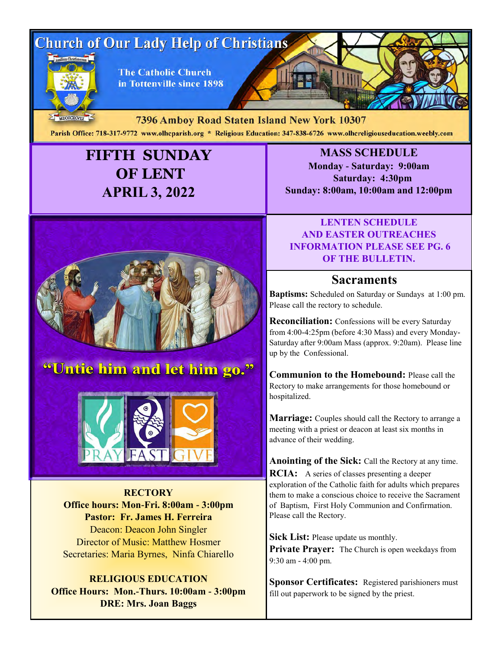# **Church of Our Lady Help of Christians**



**The Catholic Church** in Tottenville since 1898

MDCCCXCVIII 7396 Amboy Road Staten Island New York 10307 Parish Office: 718-317-9772 www.olhcparish.org \* Religious Education: 347-838-6726 www.olhcreligiouseducation.weebly.com

## **FIFTH SUNDAY OF LENT APRIL 3, 2022**



## "Untie him and let him go."



**RECTORY Office hours: Mon-Fri. 8:00am - 3:00pm Pastor: Fr. James H. Ferreira** Deacon: Deacon John Singler Director of Music: Matthew Hosmer Secretaries: Maria Byrnes, Ninfa Chiarello

**RELIGIOUS EDUCATION Office Hours: Mon.-Thurs. 10:00am - 3:00pm DRE: Mrs. Joan Baggs**

**MASS SCHEDULE Monday - Saturday: 9:00am Saturday: 4:30pm Sunday: 8:00am, 10:00am and 12:00pm**

#### **LENTEN SCHEDULE AND EASTER OUTREACHES INFORMATION PLEASE SEE PG. 6 OF THE BULLETIN.**

#### **Sacraments**

**Baptisms:** Scheduled on Saturday or Sundays at 1:00 pm. Please call the rectory to schedule.

**Reconciliation:** Confessions will be every Saturday from 4:00-4:25pm (before 4:30 Mass) and every Monday-Saturday after 9:00am Mass (approx. 9:20am). Please line up by the Confessional.

**Communion to the Homebound:** Please call the Rectory to make arrangements for those homebound or hospitalized.

**Marriage:** Couples should call the Rectory to arrange a meeting with a priest or deacon at least six months in advance of their wedding.

**Anointing of the Sick:** Call the Rectory at any time. **RCIA:** A series of classes presenting a deeper exploration of the Catholic faith for adults which prepares them to make a conscious choice to receive the Sacrament of Baptism, First Holy Communion and Confirmation. Please call the Rectory.

**Sick List:** Please update us monthly. Private Prayer: The Church is open weekdays from 9:30 am - 4:00 pm.

**Sponsor Certificates:** Registered parishioners must fill out paperwork to be signed by the priest.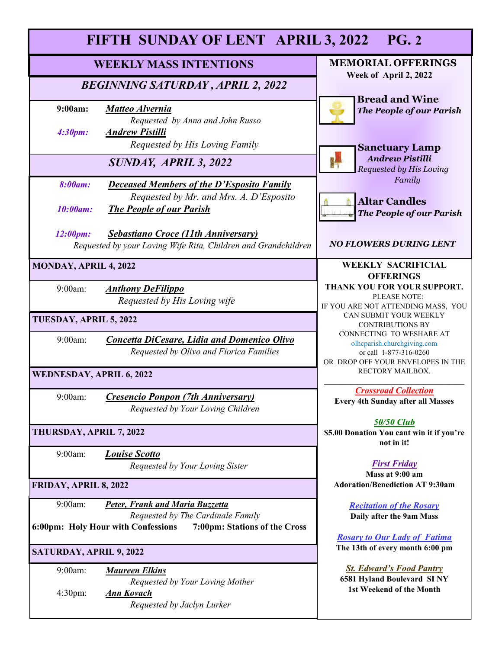| FIFTH SUNDAY OF LENT APRIL 3, 2022<br><b>PG. 2</b> |                                                                                                                                             |                                                                                                                        |
|----------------------------------------------------|---------------------------------------------------------------------------------------------------------------------------------------------|------------------------------------------------------------------------------------------------------------------------|
| <b>WEEKLY MASS INTENTIONS</b>                      |                                                                                                                                             | <b>MEMORIAL OFFERINGS</b>                                                                                              |
| <b>BEGINNING SATURDAY, APRIL 2, 2022</b>           |                                                                                                                                             | Week of April 2, 2022<br><b>Bread and Wine</b>                                                                         |
| 9:00am:<br>4:30pm:                                 | <b>Matteo Alvernia</b><br>Requested by Anna and John Russo<br><b>Andrew Pistilli</b>                                                        | <b>The People of our Parish</b>                                                                                        |
|                                                    | Requested by His Loving Family<br>SUNDAY, APRIL 3, 2022                                                                                     | <b>Sanctuary Lamp</b><br><b>Andrew Pistilli</b><br><b>Requested by His Loving</b>                                      |
| <b>8:00am:</b><br>10:00am:                         | <b>Deceased Members of the D'Esposito Family</b><br>Requested by Mr. and Mrs. A. D'Esposito<br><b>The People of our Parish</b>              | Family<br><b>Altar Candles</b>                                                                                         |
| 12:00pm:                                           | <b>Sebastiano Croce (11th Anniversary)</b><br>Requested by your Loving Wife Rita, Children and Grandchildren                                | <b>The People of our Parish</b><br><b>NO FLOWERS DURING LENT</b>                                                       |
| MONDAY, APRIL 4, 2022<br><b>OFFERINGS</b>          |                                                                                                                                             | <b>WEEKLY SACRIFICIAL</b>                                                                                              |
| 9:00am:                                            | <b>Anthony DeFilippo</b><br>Requested by His Loving wife                                                                                    | THANK YOU FOR YOUR SUPPORT.<br>PLEASE NOTE:<br>IF YOU ARE NOT ATTENDING MASS, YOU                                      |
| TUESDAY, APRIL 5, 2022                             |                                                                                                                                             | CAN SUBMIT YOUR WEEKLY<br><b>CONTRIBUTIONS BY</b>                                                                      |
| 9:00am:                                            | <b>Concetta DiCesare, Lidia and Domenico Olivo</b><br>Requested by Olivo and Fiorica Families                                               | CONNECTING TO WESHARE AT<br>olhcparish.churchgiving.com<br>or call 1-877-316-0260<br>OR DROP OFF YOUR ENVELOPES IN THE |
| <b>WEDNESDAY, APRIL 6, 2022</b>                    |                                                                                                                                             | RECTORY MAILBOX.                                                                                                       |
| 9:00am:                                            | <b>Cresencio Ponpon (7th Anniversary)</b><br>Requested by Your Loving Children                                                              | <b>Crossroad Collection</b><br><b>Every 4th Sunday after all Masses</b>                                                |
| THURSDAY, APRIL 7, 2022                            |                                                                                                                                             | <b>50/50 Club</b><br>\$5.00 Donation You cant win it if you're<br>not in it!                                           |
| 9:00am:                                            | <b>Louise Scotto</b><br>Requested by Your Loving Sister                                                                                     | <b>First Friday</b><br>Mass at 9:00 am                                                                                 |
| FRIDAY, APRIL 8, 2022                              |                                                                                                                                             | <b>Adoration/Benediction AT 9:30am</b>                                                                                 |
| 9:00am:                                            | Peter, Frank and Maria Buzzetta<br>Requested by The Cardinale Family<br>6:00pm: Holy Hour with Confessions<br>7:00pm: Stations of the Cross | <b>Recitation of the Rosary</b><br>Daily after the 9am Mass                                                            |
| SATURDAY, APRIL 9, 2022                            |                                                                                                                                             | <b>Rosary to Our Lady of Fatima</b><br>The 13th of every month 6:00 pm                                                 |
| 9:00am:                                            | <b>Maureen Elkins</b><br>Requested by Your Loving Mother                                                                                    | <b>St. Edward's Food Pantry</b><br>6581 Hyland Boulevard SINY                                                          |
| 4:30pm:                                            | <b>Ann Kovach</b><br>Requested by Jaclyn Lurker                                                                                             | 1st Weekend of the Month                                                                                               |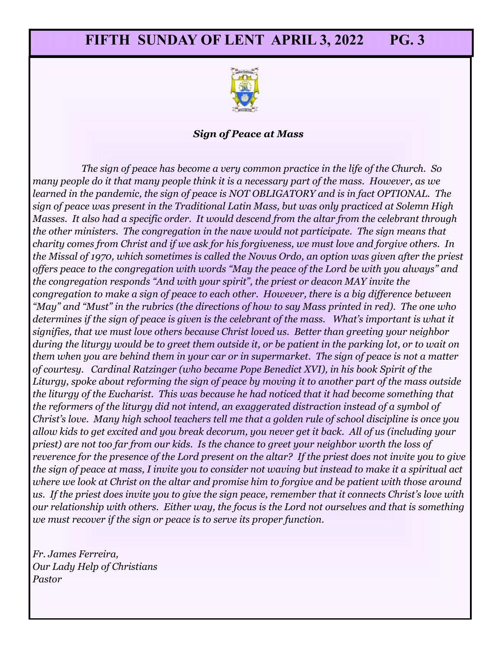

#### *Sign of Peace at Mass*

*The sign of peace has become a very common practice in the life of the Church. So many people do it that many people think it is a necessary part of the mass. However, as we learned in the pandemic, the sign of peace is NOT OBLIGATORY and is in fact OPTIONAL. The sign of peace was present in the Traditional Latin Mass, but was only practiced at Solemn High Masses. It also had a specific order. It would descend from the altar from the celebrant through the other ministers. The congregation in the nave would not participate. The sign means that charity comes from Christ and if we ask for his forgiveness, we must love and forgive others. In the Missal of 1970, which sometimes is called the Novus Ordo, an option was given after the priest offers peace to the congregation with words "May the peace of the Lord be with you always" and the congregation responds "And with your spirit", the priest or deacon MAY invite the congregation to make a sign of peace to each other. However, there is a big difference between "May" and "Must" in the rubrics (the directions of how to say Mass printed in red). The one who determines if the sign of peace is given is the celebrant of the mass. What's important is what it signifies, that we must love others because Christ loved us. Better than greeting your neighbor during the liturgy would be to greet them outside it, or be patient in the parking lot, or to wait on them when you are behind them in your car or in supermarket. The sign of peace is not a matter of courtesy. Cardinal Ratzinger (who became Pope Benedict XVI), in his book Spirit of the Liturgy, spoke about reforming the sign of peace by moving it to another part of the mass outside the liturgy of the Eucharist. This was because he had noticed that it had become something that the reformers of the liturgy did not intend, an exaggerated distraction instead of a symbol of Christ's love. Many high school teachers tell me that a golden rule of school discipline is once you allow kids to get excited and you break decorum, you never get it back. All of us (including your priest) are not too far from our kids. Is the chance to greet your neighbor worth the loss of reverence for the presence of the Lord present on the altar? If the priest does not invite you to give the sign of peace at mass, I invite you to consider not waving but instead to make it a spiritual act where we look at Christ on the altar and promise him to forgive and be patient with those around us. If the priest does invite you to give the sign peace, remember that it connects Christ's love with our relationship with others. Either way, the focus is the Lord not ourselves and that is something we must recover if the sign or peace is to serve its proper function.*

*Fr. James Ferreira, Our Lady Help of Christians Pastor*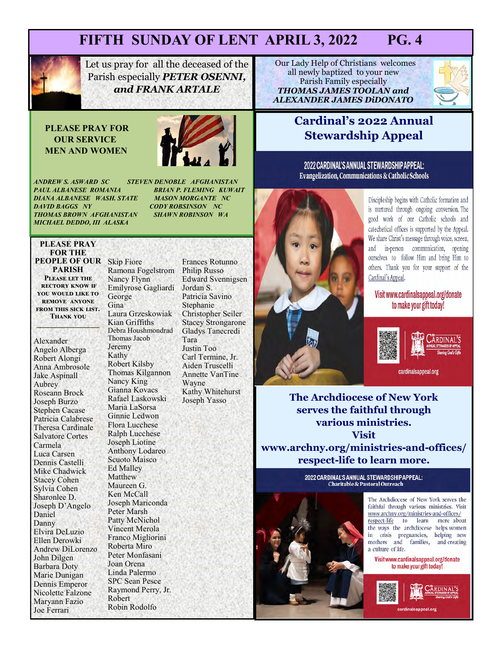

Let us pray for all the deceased of the Parish especially *PETER OSENNI, and FRANK ARTALE*

#### **PLEASE PRAY FOR OUR SERVICE MEN AND WOMEN**



*PAUL ALBANESE ROMANIA BRIAN P. FLEMING KUWAIT*  **DIANA ALBANESE WASH. STATE<br>DAVID BAGGS NY THOMAS BROWN AFGHANISTAN** *MICHAEL DEDDO, III ALASKA* 

*ANDREW S. ASWARD SC STEVEN DENOBLE AFGHANISTAN*  **CODY ROBSINSON NC**<br>**SHAWN ROBINSON WA** 

#### **PLEASE PRAY FOR THE PEOPLE OF OUR**  Skip Fiore **PARISH Please let the rectory know if you would like to remove anyone from this sick list.**

**Thank you \_\_\_\_\_\_\_\_\_\_\_\_\_\_\_\_\_**

Alexander Angelo Alberga Robert Alongi Anna Ambrosole Jake Aspinall Aubrey Roseann Brock Joseph Burzo Stephen Cacase Patricia Calabrese Theresa Cardinale Salvatore Cortes Carmela Luca Carsen Dennis Castelli Mike Chadwick Stacey Cohen Sylvia Cohen Sharonlee D. Joseph D'Angelo Daniel Danny Elvira DeLuzio Ellen Derowki Andrew DiLorenzo John Dilgen Barbara Doty Marie Dunigan Dennis Emperor Nicolette Falzone Maryann Fazio Joe Ferrari

Ramona Fogelstrom Nancy Flynn Emilyrose Gagliardi George Gina Laura Grzeskowiak Kian Griffiths Debra Houshmondrad Thomas Jacob Jeremy Kathy Robert Kilsby Thomas Kilgannon Nancy King Gianna Kovacs Rafael Laskowski Maria LaSorsa Ginnie Ledwon Flora Lucchese Ralph Lucchese Joseph Liotine Anthony Lodareo Scuoto Maisco Ed Malley Matthew Maureen G. Ken McCall Joseph Mariconda Peter Marsh Patty McNichol Vincent Merola Franco Migliorini Roberta Miro Peter Monfasani Joan Orena Linda Palermo SPC Sean Pesce Raymond Perry, Jr. Robert Robin Rodolfo

Frances Rotunno Philip Russo Edward Svennigsen Jordan S. Patricia Savino Stephanie Christopher Seiler Stacey Strongarone Gladys Tanecredi Tara Justin Too Carl Termine, Jr. Aiden Truscelli Annette VanTine Wayne Kathy Whitehurst Joseph Yasso

**Our Lady Help of Christians welcomes** all newly baptized to your new Parish Family especially *THOMAS JAMES TOOLAN and ALEXANDER JAMES DiDONATO*



#### **Cardinal's 2022 Annual Stewardship Appeal**

2022 CARDINAL'S ANNUAL STEWARDSHIP APPEAL: **Evangelization, Communications & Catholic Schools** 



Discipleship begins with Catholic formation and is nurtured through ongoing conversion. The good work of our Catholic schools and catechetical offices is supported by the Appeal. We share Christ's message through voice, screen, and in-person communication, opening ourselves to follow Him and bring Him to others. Thank you for your support of the Cardinal's Appeal.

#### Visit www.cardinalsappeal.org/donate to make your gift today!



cardinalsanneal.org

**The Archdiocese of New York serves the faithful through various ministries. Visit www.archny.org/ministries-and-offices/ respect-life to learn more.** 

> 2022 CARDINAL'S ANNUAL STEWARDSHIP APPEAL: **Charitable & Pastoral Outreach**



The Archdiocese of New York serves the faithful through various ministries. Visit www.archny.org/ministries-and-offices/ respect-life to learn more about the ways the archdiocese helps women in crisis pregnancies, helping new mothers and families, and creating a culture of life.

Visit www.cardinalsappeal.org/donate to make your gift today!

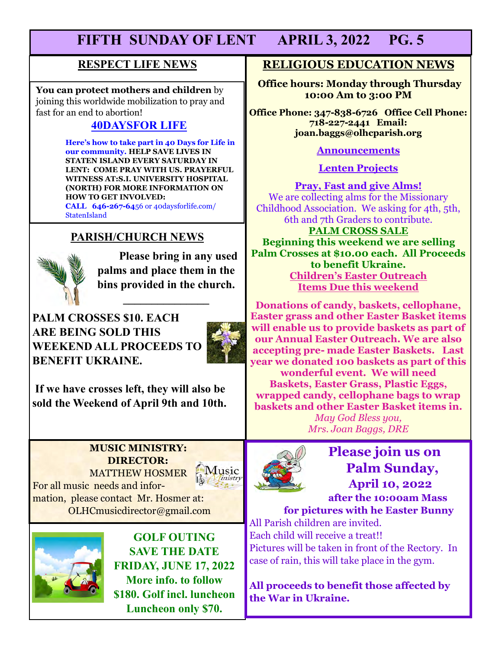#### **RESPECT LIFE NEWS**

**You can protect mothers and children** by joining this worldwide mobilization to pray and fast for an end to abortion!

#### **40DAYSFOR LIFE**

 **Here's how to take part in 40 Days for Life in our community. HELP SAVE LIVES IN STATEN ISLAND EVERY SATURDAY IN LENT: COME PRAY WITH US. PRAYERFUL WITNESS AT:S.I. UNIVERSITY HOSPITAL (NORTH) FOR MORE INFORMATION ON HOW TO GET INVOLVED: CALL 646-267-64**56 or 40daysforlife.com/ **StatenIsland** 

#### **PARISH/CHURCH NEWS**



**Please bring in any used palms and place them in the bins provided in the church.** 

**\_\_\_\_\_\_\_\_\_\_\_\_\_\_\_**

**PALM CROSSES \$10. EACH ARE BEING SOLD THIS WEEKEND ALL PROCEEDS TO BENEFIT UKRAINE.** 



**If we have crosses left, they will also be sold the Weekend of April 9th and 10th.** 

#### **MUSIC MINISTRY: DIRECTOR:**  MATTHEW HOSMER

**Music** 

For all music needs and information, please contact Mr. Hosmer at: OLHCmusicdirector@gmail.com



**GOLF OUTING SAVE THE DATE FRIDAY, JUNE 17, 2022 More info. to follow \$180. Golf incl. luncheon Luncheon only \$70.** 

#### **RELIGIOUS EDUCATION NEWS**

**Office hours: Monday through Thursday 10:00 Am to 3:00 PM**

**Office Phone: 347-838-6726 Office Cell Phone: 718-227-2441 Email: joan.baggs@olhcparish.org**

**Announcements**

**Lenten Projects**

**Pray, Fast and give Alms!** We are collecting alms for the Missionary Childhood Association. We asking for 4th, 5th, 6th and 7th Graders to contribute.

**PALM CROSS SALE Beginning this weekend we are selling Palm Crosses at \$10.00 each. All Proceeds to benefit Ukraine. Children's Easter Outreach Items Due this weekend**

**Donations of candy, baskets, cellophane, Easter grass and other Easter Basket items will enable us to provide baskets as part of our Annual Easter Outreach. We are also accepting pre- made Easter Baskets. Last year we donated 100 baskets as part of this** 

**wonderful event. We will need Baskets, Easter Grass, Plastic Eggs, wrapped candy, cellophane bags to wrap baskets and other Easter Basket items in.** 

*May God Bless you, Mrs. Joan Baggs, DRE*



## **Please join us on Palm Sunday, April 10, 2022**

 **after the 10:00am Mass for pictures with he Easter Bunny**

All Parish children are invited. Each child will receive a treat!! Pictures will be taken in front of the Rectory. In case of rain, this will take place in the gym.

**All proceeds to benefit those affected by the War in Ukraine.**